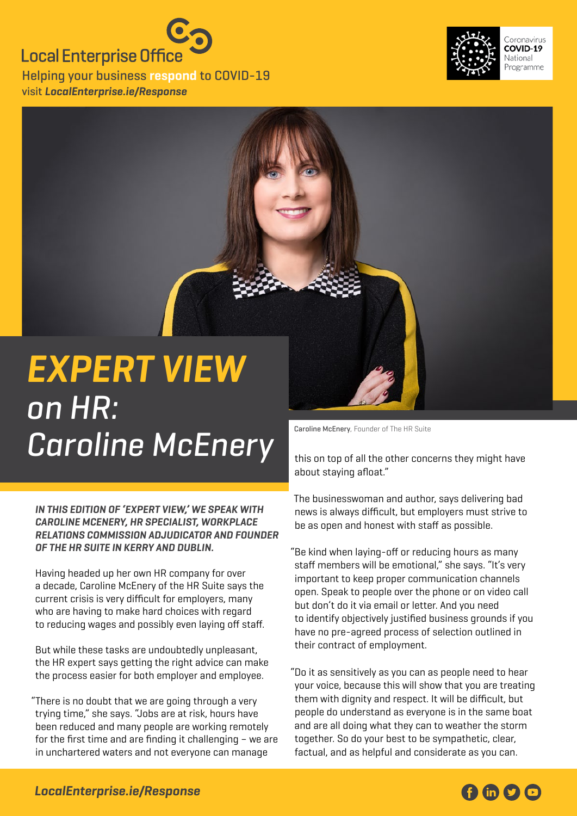## **Local Enterprise Office**

Helping your business **respond** to COVID-19 visit **[LocalEnterprise.ie/Response](http://LocalEnterprise.ie/Response)**





on HR: Caroline McEnery **Caroline McEnery**, Founder of The HR Suite

**In this edition of 'Expert View,' we speak with Caroline McEnery, HR specialist, Workplace Relations Commission adjudicator and founder of The HR Suite in Kerry and Dublin.**

Having headed up her own HR company for over a decade, Caroline McEnery of the HR Suite says the current crisis is very difficult for employers, many who are having to make hard choices with regard to reducing wages and possibly even laying off staff.

But while these tasks are undoubtedly unpleasant, the HR expert says getting the right advice can make the process easier for both employer and employee.

"There is no doubt that we are going through a very trying time," she says. "Jobs are at risk, hours have been reduced and many people are working remotely for the first time and are finding it challenging – we are in unchartered waters and not everyone can manage

this on top of all the other concerns they might have about staying afloat."

The businesswoman and author, says delivering bad news is always difficult, but employers must strive to be as open and honest with staff as possible.

"Be kind when laying-off or reducing hours as many staff members will be emotional," she says. "It's very important to keep proper communication channels open. Speak to people over the phone or on video call but don't do it via email or letter. And you need to identify objectively justified business grounds if you have no pre-agreed process of selection outlined in their contract of employment.

"Do it as sensitively as you can as people need to hear your voice, because this will show that you are treating them with dignity and respect. It will be difficult, but people do understand as everyone is in the same boat and are all doing what they can to weather the storm together. So do your best to be sympathetic, clear, factual, and as helpful and considerate as you can.